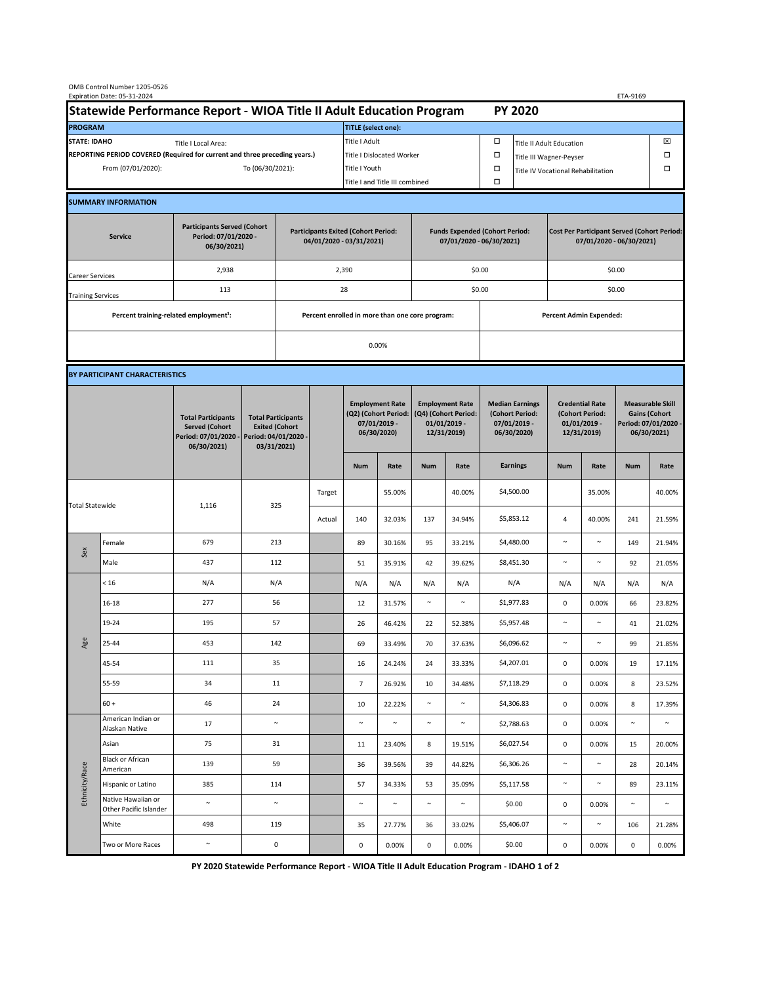| OMB Control Number 1205-0526<br>Expiration Date: 05-31-2024<br>ETA-9169                     |                                                    |                                                                                           |                                                                                           |                                                                        |                           |                                                                               |               |                                                                                 |        |                                                                            |                                    |                                                                                |        |                                                                                        |        |  |
|---------------------------------------------------------------------------------------------|----------------------------------------------------|-------------------------------------------------------------------------------------------|-------------------------------------------------------------------------------------------|------------------------------------------------------------------------|---------------------------|-------------------------------------------------------------------------------|---------------|---------------------------------------------------------------------------------|--------|----------------------------------------------------------------------------|------------------------------------|--------------------------------------------------------------------------------|--------|----------------------------------------------------------------------------------------|--------|--|
| Statewide Performance Report - WIOA Title II Adult Education Program                        |                                                    |                                                                                           |                                                                                           |                                                                        |                           | <b>PY 2020</b>                                                                |               |                                                                                 |        |                                                                            |                                    |                                                                                |        |                                                                                        |        |  |
| <b>PROGRAM</b>                                                                              |                                                    |                                                                                           |                                                                                           |                                                                        |                           | <b>TITLE</b> (select one):                                                    |               |                                                                                 |        |                                                                            |                                    |                                                                                |        |                                                                                        |        |  |
| <b>STATE: IDAHO</b><br>Title I Local Area:                                                  |                                                    |                                                                                           |                                                                                           |                                                                        |                           | Title I Adult                                                                 |               |                                                                                 |        | □<br><b>Title II Adult Education</b>                                       |                                    |                                                                                |        |                                                                                        | ⊠      |  |
| REPORTING PERIOD COVERED (Required for current and three preceding years.)                  |                                                    |                                                                                           |                                                                                           |                                                                        | Title I Dislocated Worker |                                                                               |               |                                                                                 |        | $\Box$                                                                     | Title III Wagner-Peyser            |                                                                                |        |                                                                                        |        |  |
| From (07/01/2020):                                                                          |                                                    |                                                                                           |                                                                                           | To (06/30/2021):                                                       |                           |                                                                               | Title I Youth |                                                                                 |        | $\Box$                                                                     | Title IV Vocational Rehabilitation |                                                                                |        |                                                                                        | □      |  |
|                                                                                             |                                                    |                                                                                           |                                                                                           |                                                                        |                           | Title I and Title III combined                                                |               |                                                                                 |        | $\Box$                                                                     |                                    |                                                                                |        |                                                                                        |        |  |
|                                                                                             | <b>SUMMARY INFORMATION</b>                         |                                                                                           |                                                                                           |                                                                        |                           |                                                                               |               |                                                                                 |        |                                                                            |                                    |                                                                                |        |                                                                                        |        |  |
| <b>Participants Served (Cohort</b><br>Period: 07/01/2020 -<br><b>Service</b><br>06/30/2021) |                                                    |                                                                                           |                                                                                           | <b>Participants Exited (Cohort Period:</b><br>04/01/2020 - 03/31/2021) |                           |                                                                               |               | <b>Funds Expended (Cohort Period:</b><br>07/01/2020 - 06/30/2021)               |        |                                                                            |                                    | <b>Cost Per Participant Served (Cohort Period:</b><br>07/01/2020 - 06/30/2021) |        |                                                                                        |        |  |
| Career Services                                                                             |                                                    | 2,938                                                                                     |                                                                                           |                                                                        |                           | 2,390                                                                         |               |                                                                                 |        | \$0.00                                                                     |                                    | \$0.00                                                                         |        |                                                                                        |        |  |
| <b>Training Services</b>                                                                    |                                                    | 113                                                                                       |                                                                                           | 28                                                                     |                           |                                                                               |               |                                                                                 |        | \$0.00                                                                     |                                    | \$0.00                                                                         |        |                                                                                        |        |  |
|                                                                                             | Percent training-related employment <sup>1</sup> : |                                                                                           | Percent enrolled in more than one core program:                                           |                                                                        |                           |                                                                               |               |                                                                                 |        |                                                                            | <b>Percent Admin Expended:</b>     |                                                                                |        |                                                                                        |        |  |
|                                                                                             |                                                    |                                                                                           |                                                                                           |                                                                        |                           |                                                                               |               |                                                                                 |        |                                                                            |                                    |                                                                                |        |                                                                                        |        |  |
|                                                                                             |                                                    |                                                                                           | 0.00%                                                                                     |                                                                        |                           |                                                                               |               |                                                                                 |        |                                                                            |                                    |                                                                                |        |                                                                                        |        |  |
| BY PARTICIPANT CHARACTERISTICS                                                              |                                                    |                                                                                           |                                                                                           |                                                                        |                           |                                                                               |               |                                                                                 |        |                                                                            |                                    |                                                                                |        |                                                                                        |        |  |
|                                                                                             |                                                    | <b>Total Participants</b><br><b>Served (Cohort</b><br>Period: 07/01/2020 -<br>06/30/2021) | <b>Total Participants</b><br><b>Exited (Cohort</b><br>Period: 04/01/2020 -<br>03/31/2021) |                                                                        |                           | <b>Employment Rate</b><br>(Q2) (Cohort Period:<br>07/01/2019 -<br>06/30/2020) |               | <b>Employment Rate</b><br>(Q4) (Cohort Period:<br>$01/01/2019$ -<br>12/31/2019) |        | <b>Median Earnings</b><br>(Cohort Period:<br>$07/01/2019 -$<br>06/30/2020) |                                    | <b>Credential Rate</b><br>(Cohort Period:<br>$01/01/2019$ -<br>12/31/2019)     |        | <b>Measurable Skill</b><br><b>Gains (Cohort</b><br>Period: 07/01/2020 -<br>06/30/2021) |        |  |
|                                                                                             |                                                    |                                                                                           |                                                                                           |                                                                        |                           | <b>Num</b>                                                                    | Rate          | <b>Num</b>                                                                      | Rate   |                                                                            | <b>Earnings</b>                    | <b>Num</b>                                                                     | Rate   | <b>Num</b>                                                                             | Rate   |  |
| <b>Total Statewide</b>                                                                      |                                                    |                                                                                           | 325<br>1,116                                                                              |                                                                        | Target                    |                                                                               | 55.00%        |                                                                                 | 40.00% |                                                                            | \$4,500.00                         |                                                                                | 35.00% |                                                                                        | 40.00% |  |
|                                                                                             |                                                    |                                                                                           |                                                                                           |                                                                        | Actual                    | 140                                                                           | 32.03%        | 137                                                                             | 34.94% |                                                                            | \$5,853.12                         | 4                                                                              | 40.00% | 241                                                                                    | 21.59% |  |
| Sex                                                                                         | Female                                             | 679                                                                                       | 213                                                                                       |                                                                        |                           | 89                                                                            | 30.16%        | 95                                                                              | 33.21% |                                                                            | \$4,480.00                         | $\sim$                                                                         | $\sim$ | 149                                                                                    | 21.94% |  |
|                                                                                             | Male                                               | 437                                                                                       | 112                                                                                       |                                                                        |                           | 51                                                                            | 35.91%        | 42                                                                              | 39.62% |                                                                            | \$8,451.30                         | $\sim$                                                                         | $\sim$ | 92                                                                                     | 21.05% |  |
| Age                                                                                         | < 16                                               | N/A                                                                                       | N/A                                                                                       |                                                                        |                           | N/A                                                                           | N/A           | N/A                                                                             | N/A    |                                                                            | N/A                                | N/A                                                                            | N/A    | N/A                                                                                    | N/A    |  |
|                                                                                             | $16 - 18$                                          | 277                                                                                       | 56                                                                                        |                                                                        |                           | 12                                                                            | 31.57%        | $\sim$                                                                          | $\sim$ |                                                                            | \$1,977.83                         | $\mathsf 0$                                                                    | 0.00%  | 66                                                                                     | 23.82% |  |
|                                                                                             | 19-24                                              | 195                                                                                       | 57                                                                                        |                                                                        |                           | 26                                                                            | 46.42%        | 22                                                                              | 52.38% |                                                                            | \$5,957.48                         | $\sim$                                                                         | $\sim$ | 41                                                                                     | 21.02% |  |
|                                                                                             | 25-44                                              | 453                                                                                       | 142                                                                                       |                                                                        |                           | 69                                                                            | 33.49%        | 70                                                                              | 37.63% |                                                                            | \$6,096.62                         | $\sim$                                                                         | $\sim$ | 99                                                                                     | 21.85% |  |
|                                                                                             | 45-54                                              | 111                                                                                       | 35                                                                                        |                                                                        |                           | 16                                                                            | 24.24%        | 24                                                                              | 33.33% |                                                                            | \$4,207.01                         | $\mathbf 0$                                                                    | 0.00%  | 19                                                                                     | 17.11% |  |
|                                                                                             | 55-59                                              | 34                                                                                        | 11                                                                                        |                                                                        |                           | $\overline{7}$                                                                | 26.92%        | 10                                                                              | 34.48% |                                                                            | \$7,118.29                         | $\mathbf 0$                                                                    | 0.00%  | 8                                                                                      | 23.52% |  |
|                                                                                             | $60 +$                                             | 46                                                                                        | 24                                                                                        |                                                                        |                           | 10                                                                            | 22.22%        | $\sim$                                                                          | $\sim$ |                                                                            | \$4,306.83                         | $\mathbf 0$                                                                    | 0.00%  | 8                                                                                      | 17.39% |  |
| Ethnicity/Race                                                                              | American Indian or<br>Alaskan Native               | 17                                                                                        | $\sim$                                                                                    |                                                                        |                           | $\sim$                                                                        | $\sim$        | $\sim$                                                                          | $\sim$ |                                                                            | \$2,788.63                         | 0                                                                              | 0.00%  | $\sim$                                                                                 | $\sim$ |  |
|                                                                                             | Asian                                              | 75                                                                                        | 31                                                                                        |                                                                        |                           | 11                                                                            | 23.40%        | 8                                                                               | 19.51% |                                                                            | \$6,027.54                         | 0                                                                              | 0.00%  | 15                                                                                     | 20.00% |  |
|                                                                                             | Black or African<br>American                       | 139                                                                                       | 59                                                                                        |                                                                        |                           | 36                                                                            | 39.56%        | 39                                                                              | 44.82% |                                                                            | \$6,306.26                         | $\sim$                                                                         | $\sim$ | 28                                                                                     | 20.14% |  |
|                                                                                             | Hispanic or Latino                                 | 385                                                                                       | 114                                                                                       |                                                                        |                           | 57                                                                            | 34.33%        | 53                                                                              | 35.09% |                                                                            | \$5,117.58                         | $\sim$                                                                         | $\sim$ | 89                                                                                     | 23.11% |  |
|                                                                                             | Native Hawaiian or<br>Other Pacific Islander       | $\sim$                                                                                    | $\sim$                                                                                    |                                                                        |                           | $\sim$                                                                        | $\sim$        | $\sim$                                                                          | $\sim$ |                                                                            | \$0.00                             | $\mathbf 0$                                                                    | 0.00%  | $\sim$                                                                                 | $\sim$ |  |
|                                                                                             | White                                              | 498                                                                                       | 119                                                                                       |                                                                        |                           | 35                                                                            | 27.77%        | 36                                                                              | 33.02% |                                                                            | \$5,406.07                         | $\sim$                                                                         | $\sim$ | 106                                                                                    | 21.28% |  |
|                                                                                             | Two or More Races                                  | $\sim$                                                                                    | $\pmb{0}$                                                                                 |                                                                        |                           | 0                                                                             | 0.00%         | 0                                                                               | 0.00%  |                                                                            | \$0.00                             | $\mathbf 0$                                                                    | 0.00%  | 0                                                                                      | 0.00%  |  |

**PY 2020 Statewide Performance Report - WIOA Title II Adult Education Program - IDAHO 1 of 2**